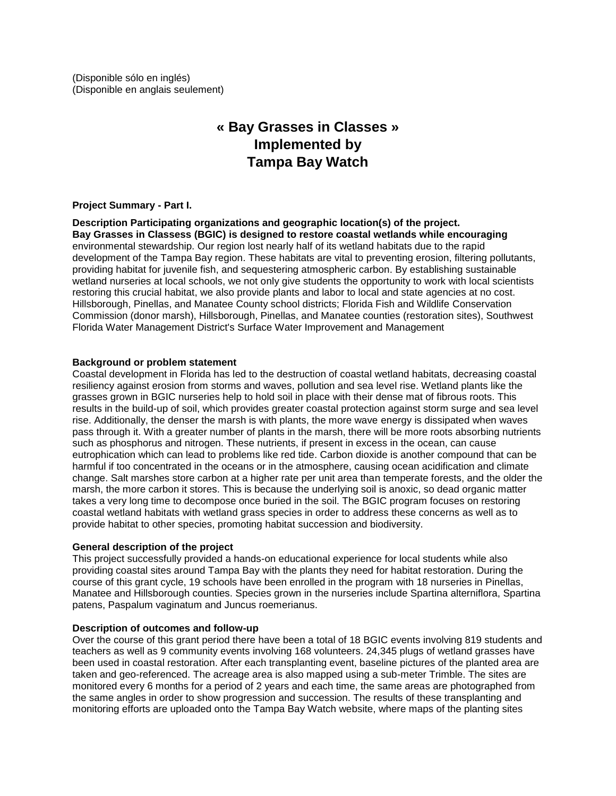(Disponible sólo en inglés) (Disponible en anglais seulement)

# **« Bay Grasses in Classes » Implemented by Tampa Bay Watch**

# **Project Summary - Part I.**

**Description Participating organizations and geographic location(s) of the project. Bay Grasses in Classess (BGIC) is designed to restore coastal wetlands while encouraging** environmental stewardship. Our region lost nearly half of its wetland habitats due to the rapid development of the Tampa Bay region. These habitats are vital to preventing erosion, filtering pollutants, providing habitat for juvenile fish, and sequestering atmospheric carbon. By establishing sustainable wetland nurseries at local schools, we not only give students the opportunity to work with local scientists restoring this crucial habitat, we also provide plants and labor to local and state agencies at no cost. Hillsborough, Pinellas, and Manatee County school districts; Florida Fish and Wildlife Conservation Commission (donor marsh), Hillsborough, Pinellas, and Manatee counties (restoration sites), Southwest Florida Water Management District's Surface Water Improvement and Management

# **Background or problem statement**

Coastal development in Florida has led to the destruction of coastal wetland habitats, decreasing coastal resiliency against erosion from storms and waves, pollution and sea level rise. Wetland plants like the grasses grown in BGIC nurseries help to hold soil in place with their dense mat of fibrous roots. This results in the build-up of soil, which provides greater coastal protection against storm surge and sea level rise. Additionally, the denser the marsh is with plants, the more wave energy is dissipated when waves pass through it. With a greater number of plants in the marsh, there will be more roots absorbing nutrients such as phosphorus and nitrogen. These nutrients, if present in excess in the ocean, can cause eutrophication which can lead to problems like red tide. Carbon dioxide is another compound that can be harmful if too concentrated in the oceans or in the atmosphere, causing ocean acidification and climate change. Salt marshes store carbon at a higher rate per unit area than temperate forests, and the older the marsh, the more carbon it stores. This is because the underlying soil is anoxic, so dead organic matter takes a very long time to decompose once buried in the soil. The BGIC program focuses on restoring coastal wetland habitats with wetland grass species in order to address these concerns as well as to provide habitat to other species, promoting habitat succession and biodiversity.

# **General description of the project**

This project successfully provided a hands-on educational experience for local students while also providing coastal sites around Tampa Bay with the plants they need for habitat restoration. During the course of this grant cycle, 19 schools have been enrolled in the program with 18 nurseries in Pinellas, Manatee and Hillsborough counties. Species grown in the nurseries include Spartina alterniflora, Spartina patens, Paspalum vaginatum and Juncus roemerianus.

# **Description of outcomes and follow-up**

Over the course of this grant period there have been a total of 18 BGIC events involving 819 students and teachers as well as 9 community events involving 168 volunteers. 24,345 plugs of wetland grasses have been used in coastal restoration. After each transplanting event, baseline pictures of the planted area are taken and geo-referenced. The acreage area is also mapped using a sub-meter Trimble. The sites are monitored every 6 months for a period of 2 years and each time, the same areas are photographed from the same angles in order to show progression and succession. The results of these transplanting and monitoring efforts are uploaded onto the Tampa Bay Watch website, where maps of the planting sites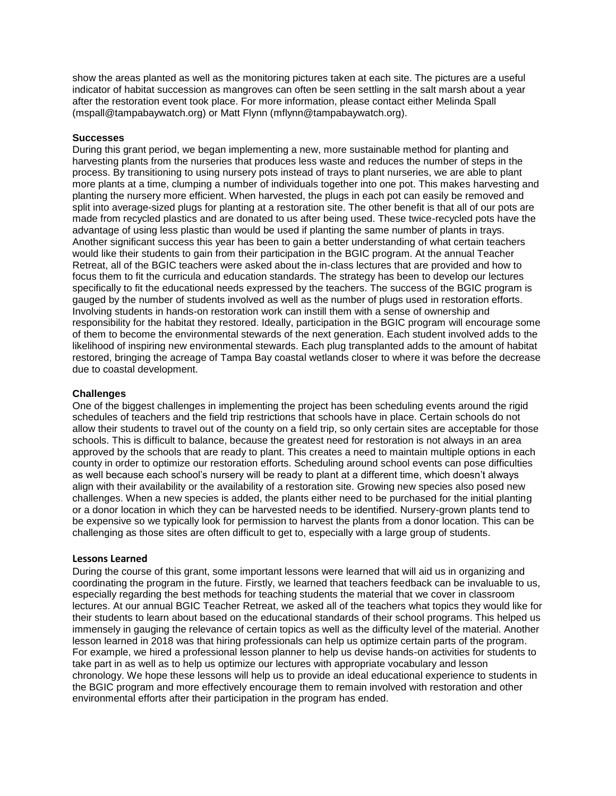show the areas planted as well as the monitoring pictures taken at each site. The pictures are a useful indicator of habitat succession as mangroves can often be seen settling in the salt marsh about a year after the restoration event took place. For more information, please contact either Melinda Spall (mspall@tampabaywatch.org) or Matt Flynn [\(mflynn@tampabaywatch.org\)](mailto:mflynn@tampabaywatch.org).

#### **Successes**

During this grant period, we began implementing a new, more sustainable method for planting and harvesting plants from the nurseries that produces less waste and reduces the number of steps in the process. By transitioning to using nursery pots instead of trays to plant nurseries, we are able to plant more plants at a time, clumping a number of individuals together into one pot. This makes harvesting and planting the nursery more efficient. When harvested, the plugs in each pot can easily be removed and split into average-sized plugs for planting at a restoration site. The other benefit is that all of our pots are made from recycled plastics and are donated to us after being used. These twice-recycled pots have the advantage of using less plastic than would be used if planting the same number of plants in trays. Another significant success this year has been to gain a better understanding of what certain teachers would like their students to gain from their participation in the BGIC program. At the annual Teacher Retreat, all of the BGIC teachers were asked about the in-class lectures that are provided and how to focus them to fit the curricula and education standards. The strategy has been to develop our lectures specifically to fit the educational needs expressed by the teachers. The success of the BGIC program is gauged by the number of students involved as well as the number of plugs used in restoration efforts. Involving students in hands-on restoration work can instill them with a sense of ownership and responsibility for the habitat they restored. Ideally, participation in the BGIC program will encourage some of them to become the environmental stewards of the next generation. Each student involved adds to the likelihood of inspiring new environmental stewards. Each plug transplanted adds to the amount of habitat restored, bringing the acreage of Tampa Bay coastal wetlands closer to where it was before the decrease due to coastal development.

#### **Challenges**

One of the biggest challenges in implementing the project has been scheduling events around the rigid schedules of teachers and the field trip restrictions that schools have in place. Certain schools do not allow their students to travel out of the county on a field trip, so only certain sites are acceptable for those schools. This is difficult to balance, because the greatest need for restoration is not always in an area approved by the schools that are ready to plant. This creates a need to maintain multiple options in each county in order to optimize our restoration efforts. Scheduling around school events can pose difficulties as well because each school's nursery will be ready to plant at a different time, which doesn't always align with their availability or the availability of a restoration site. Growing new species also posed new challenges. When a new species is added, the plants either need to be purchased for the initial planting or a donor location in which they can be harvested needs to be identified. Nursery-grown plants tend to be expensive so we typically look for permission to harvest the plants from a donor location. This can be challenging as those sites are often difficult to get to, especially with a large group of students.

# **Lessons Learned**

During the course of this grant, some important lessons were learned that will aid us in organizing and coordinating the program in the future. Firstly, we learned that teachers feedback can be invaluable to us, especially regarding the best methods for teaching students the material that we cover in classroom lectures. At our annual BGIC Teacher Retreat, we asked all of the teachers what topics they would like for their students to learn about based on the educational standards of their school programs. This helped us immensely in gauging the relevance of certain topics as well as the difficulty level of the material. Another lesson learned in 2018 was that hiring professionals can help us optimize certain parts of the program. For example, we hired a professional lesson planner to help us devise hands-on activities for students to take part in as well as to help us optimize our lectures with appropriate vocabulary and lesson chronology. We hope these lessons will help us to provide an ideal educational experience to students in the BGIC program and more effectively encourage them to remain involved with restoration and other environmental efforts after their participation in the program has ended.